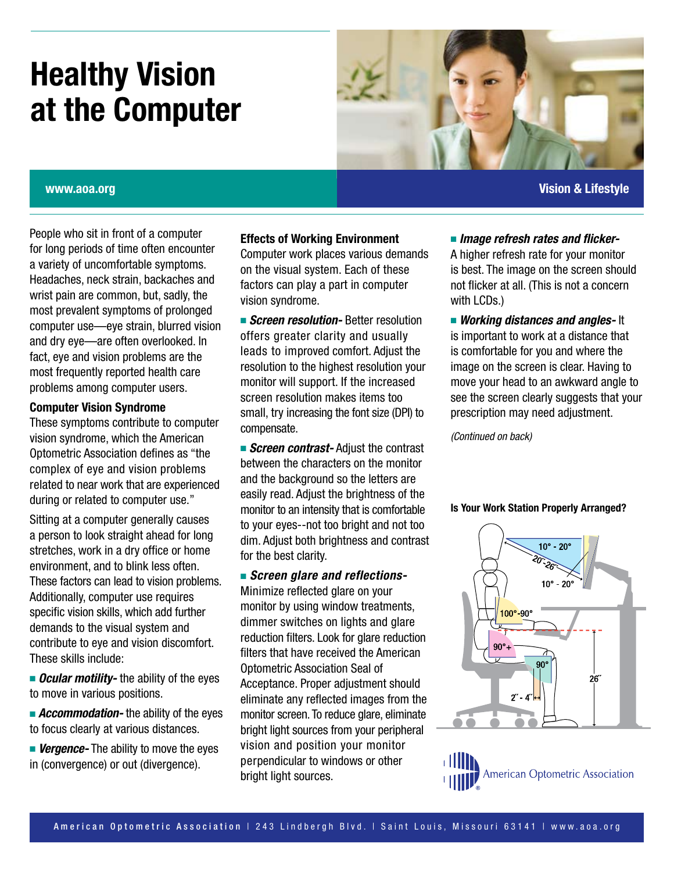# **Healthy Vision at the Computer**



## **www.aoa.org Vision & Lifestyle**

People who sit in front of a computer for long periods of time often encounter a variety of uncomfortable symptoms. Headaches, neck strain, backaches and wrist pain are common, but, sadly, the most prevalent symptoms of prolonged computer use—eye strain, blurred vision and dry eye—are often overlooked. In fact, eye and vision problems are the most frequently reported health care problems among computer users.

## **Computer Vision Syndrome**

These symptoms contribute to computer vision syndrome, which the American Optometric Association defines as "the complex of eye and vision problems related to near work that are experienced during or related to computer use."

Sitting at a computer generally causes a person to look straight ahead for long stretches, work in a dry office or home environment, and to blink less often. These factors can lead to vision problems. Additionally, computer use requires specific vision skills, which add further demands to the visual system and contribute to eye and vision discomfort. These skills include:

**n** *Ocular motility*- the ability of the eyes to move in various positions.

**E** *Accommodation-* the ability of the eyes to focus clearly at various distances.

*Nergence-* The ability to move the eyes in (convergence) or out (divergence).

#### **Effects of Working Environment**

Computer work places various demands on the visual system. Each of these factors can play a part in computer vision syndrome.

**Example 3 Screen resolution-** Better resolution offers greater clarity and usually leads to improved comfort. Adjust the resolution to the highest resolution your monitor will support. If the increased screen resolution makes items too small, try increasing the font size (DPI) to compensate.

**Example 3 Screen contrast-** Adjust the contrast between the characters on the monitor and the background so the letters are easily read. Adjust the brightness of the monitor to an intensity that is comfortable to your eyes--not too bright and not too dim. Adjust both brightness and contrast for the best clarity.

## **Example 3 Screen glare and reflections-**

Minimize reflected glare on your monitor by using window treatments, dimmer switches on lights and glare reduction filters. Look for glare reduction filters that have received the American Optometric Association Seal of Acceptance. Proper adjustment should eliminate any reflected images from the monitor screen. To reduce glare, eliminate bright light sources from your peripheral vision and position your monitor perpendicular to windows or other bright light sources.

**n** Image refresh rates and flicker-A higher refresh rate for your monitor is best. The image on the screen should not flicker at all. (This is not a concern with LCDs.)

**Norking distances and angles-It** is important to work at a distance that is comfortable for you and where the image on the screen is clear. Having to move your head to an awkward angle to see the screen clearly suggests that your prescription may need adjustment.

*(Continued on back)*

#### **Is Your Work Station Properly Arranged?**